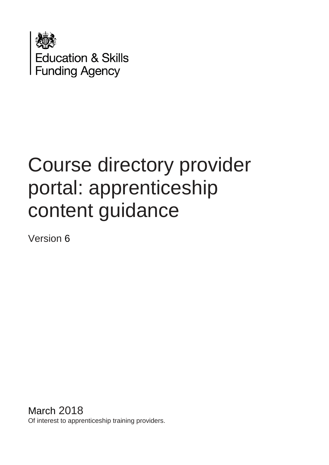

# Course directory provider portal: apprenticeship content guidance

Version 6

March 2018 Of interest to apprenticeship training providers.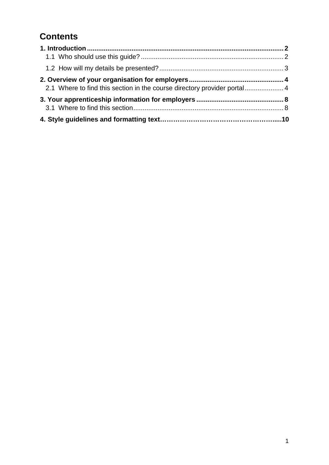# **Contents**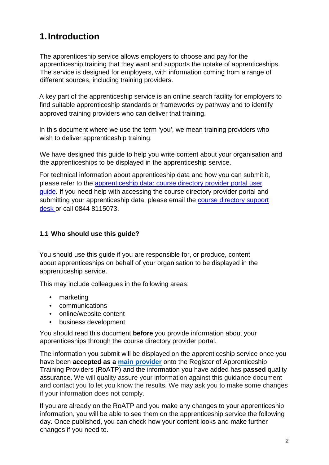# <span id="page-2-0"></span>**1.Introduction**

The apprenticeship service allows employers to choose and pay for the apprenticeship training that they want and supports the uptake of apprenticeships. The service is designed for employers, with information coming from a range of different sources, including training providers.

A key part of the apprenticeship service is an online search facility for employers to find suitable apprenticeship standards or frameworks by pathway and to identify approved training providers who can deliver that training.

In this document where we use the term 'you', we mean training providers who wish to deliver apprenticeship training.

We have designed this quide to help you write content about your organisation and the apprenticeships to be displayed in the apprenticeship service.

For technical information about apprenticeship data and how you can submit it, please refer to the [apprenticeship data: course directory provider portal user](https://www.gov.uk/government/publications/find-apprenticeship-training-how-to-submit-data)  [guide.](https://www.gov.uk/government/publications/find-apprenticeship-training-how-to-submit-data) If you need help with accessing the course directory provider portal and submitting your apprenticeship data, please email the course directory support desk or call 0844 8115073.

### <span id="page-2-1"></span>**1.1 Who should use this guide?**

You should use this guide if you are responsible for, or produce, content about apprenticeships on behalf of your organisation to be displayed in the apprenticeship service.

This may include colleagues in the following areas:

- marketing
- communications
- online/website content
- business development

You should read this document **before** you provide information about your apprenticeships through the course directory provider portal.

The information you submit will be displayed on the apprenticeship service once you have been **accepted as a [main provider](https://www.gov.uk/guidance/register-of-apprenticeship-training-providers)** onto the Register of Apprenticeship Training Providers (RoATP) and the information you have added has **passed** quality assurance. We will quality assure your information against this guidance document and contact you to let you know the results. We may ask you to make some changes if your information does not comply.

If you are already on the RoATP and you make any changes to your apprenticeship information, you will be able to see them on the apprenticeship service the following day. Once published, you can check how your content looks and make further changes if you need to.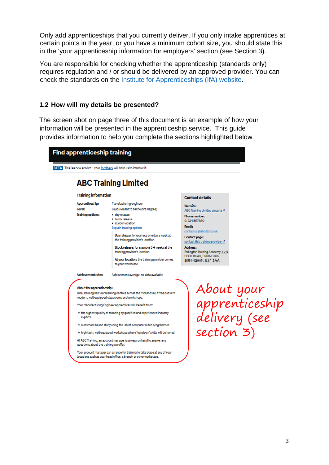Only add apprenticeships that you currently deliver. If you only intake apprentices at certain points in the year, or you have a minimum cohort size, you should state this in the 'your apprenticeship information for employers' section (see Section 3).

You are responsible for checking whether the apprenticeship (standards only) requires regulation and / or should be delivered by an approved provider. You can check the standards on the [Institute for Apprenticeships](https://www.instituteforapprenticeships.org/) (IfA) website.

### <span id="page-3-0"></span>**1.2 How will my details be presented?**

The screen shot on page three of this document is an example of how your information will be presented in the apprenticeship service. This guide provides information to help you complete the sections highlighted below.



- experts
- · classroom-based study using the latest computer aided programmes
- . high-tech, well-equipped workshops where 'hands-on' skills will be honed

At ABC Training, an account manager is always on hand to answer any questions about the training we offer.

Your account manager can arrange for training to take place at any of your locations such as your head office, a branch or other workplace.

About your<br>apprenticeship<br>delivery (see section 3)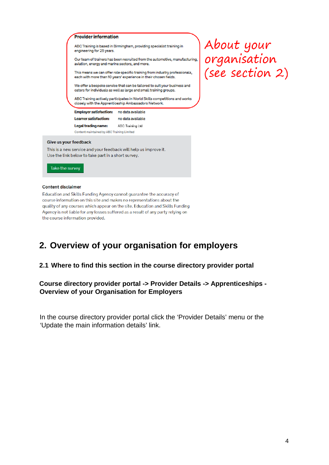

course information on this site and makes no representations about the quality of any courses which appear on the site. Education and Skills Funding Agency is not liable for any losses suffered as a result of any party relying on the course information provided.

### <span id="page-4-0"></span>**2. Overview of your organisation for employers**

### <span id="page-4-1"></span>**2.1 Where to find this section in the course directory provider portal**

### **Course directory provider portal -> Provider Details -> Apprenticeships - Overview of your Organisation for Employers**

In the course directory provider portal click the 'Provider Details' menu or the 'Update the main information details' link.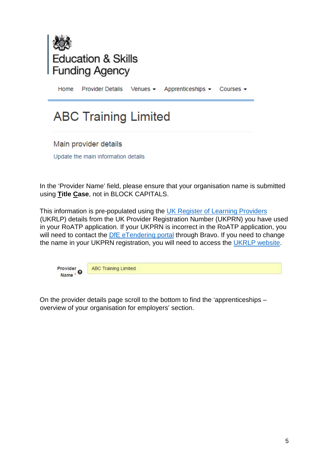

Home **Provider Details** Apprenticeships -Venues  $\blacktriangleright$ Courses -

# **ABC Training Limited**

Main provider details

Update the main information details

In the 'Provider Name' field, please ensure that your organisation name is submitted using **Title Case**, not in BLOCK CAPITALS.

This information is pre-populated using the [UK Register of Learning Providers](https://www.ukrlp.co.uk/) (UKRLP) details from the UK Provider Registration Number (UKPRN) you have used in your RoATP application. If your UKPRN is incorrect in the RoATP application, you will need to contact the [DfE eTendering portal](https://education.bravosolution.co.uk/web/login.shtml) through Bravo. If you need to change the name in your UKPRN registration, you will need to access the [UKRLP website.](https://www.ukrlp.co.uk/)



**ABC Training Limited** 

On the provider details page scroll to the bottom to find the 'apprenticeships – overview of your organisation for employers' section.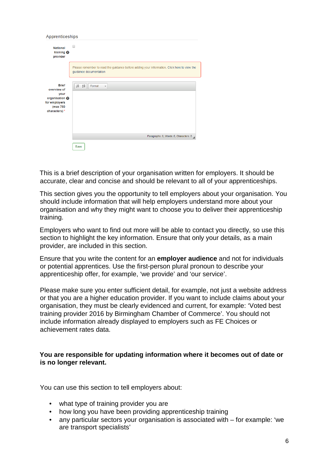| Apprenticeships                                                                                     |                                                                                                                       |
|-----------------------------------------------------------------------------------------------------|-----------------------------------------------------------------------------------------------------------------------|
| <b>National</b><br>training $\boldsymbol{\Theta}$<br>provider                                       | ▬                                                                                                                     |
|                                                                                                     | Please remember to read the guidance before adding your information. Click here to view the<br>guidance documentation |
| <b>Brief</b><br>overview of<br>your<br>organisation @<br>for employers<br>(max 750<br>characters) * | $\frac{1}{2}$ $\frac{1}{2}$ $\frac{1}{2}$<br>Format<br>$\overline{\phantom{a}}$                                       |
|                                                                                                     | Paragraphs: 0, Words: 0, Characters: 0                                                                                |
|                                                                                                     | Save                                                                                                                  |

This is a brief description of your organisation written for employers. It should be accurate, clear and concise and should be relevant to all of your apprenticeships.

This section gives you the opportunity to tell employers about your organisation. You should include information that will help employers understand more about your organisation and why they might want to choose you to deliver their apprenticeship training.

Employers who want to find out more will be able to contact you directly, so use this section to highlight the key information. Ensure that only your details, as a main provider, are included in this section.

Ensure that you write the content for an **employer audience** and not for individuals or potential apprentices. Use the first-person plural pronoun to describe your apprenticeship offer, for example, 'we provide' and 'our service'.

Please make sure you enter sufficient detail, for example, not just a website address or that you are a higher education provider. If you want to include claims about your organisation, they must be clearly evidenced and current, for example: 'Voted best training provider 2016 by Birmingham Chamber of Commerce'. You should not include information already displayed to employers such as FE Choices or achievement rates data.

### **You are responsible for updating information where it becomes out of date or is no longer relevant.**

You can use this section to tell employers about:

- what type of training provider you are
- how long you have been providing apprenticeship training
- any particular sectors your organisation is associated with for example: 'we are transport specialists'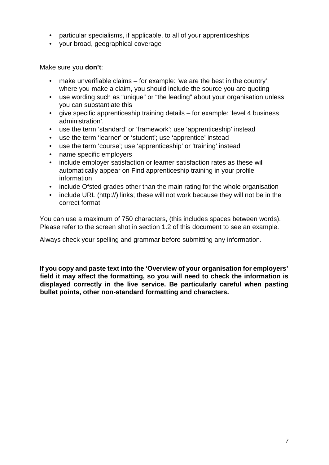- particular specialisms, if applicable, to all of your apprenticeships
- your broad, geographical coverage

Make sure you **don't**:

- make unverifiable claims for example: 'we are the best in the country'; where you make a claim, you should include the source you are quoting
- use wording such as "unique" or "the leading" about your organisation unless you can substantiate this
- give specific apprenticeship training details for example: 'level 4 business administration'.
- use the term 'standard' or 'framework'; use 'apprenticeship' instead
- use the term 'learner' or 'student'; use 'apprentice' instead
- use the term 'course': use 'apprenticeship' or 'training' instead
- name specific employers
- include employer satisfaction or learner satisfaction rates as these will automatically appear on Find apprenticeship training in your profile information
- include Ofsted grades other than the main rating for the whole organisation
- include URL (http://) links; these will not work because they will not be in the correct format

You can use a maximum of 750 characters, (this includes spaces between words). Please refer to the screen shot in section 1.2 of this document to see an example.

Always check your spelling and grammar before submitting any information.

**If you copy and paste text into the 'Overview of your organisation for employers' field it may affect the formatting, so you will need to check the information is displayed correctly in the live service. Be particularly careful when pasting bullet points, other non-standard formatting and characters.**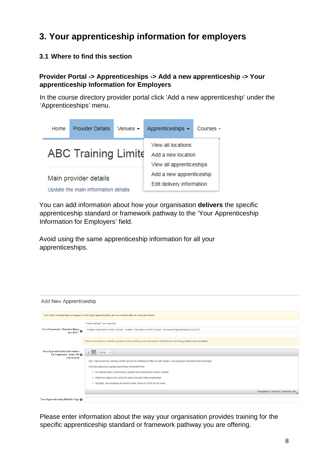# <span id="page-8-0"></span>**3. Your apprenticeship information for employers**

### <span id="page-8-1"></span>**3.1 Where to find this section**

### **Provider Portal -> Apprenticeships -> Add a new apprenticeship -> Your apprenticeship Information for Employers**

In the course directory provider portal click 'Add a new apprenticeship' under the 'Apprenticeships' menu.



You can add information about how your organisation **delivers** the specific apprenticeship standard or framework pathway to the 'Your Apprenticeship Information for Employers' field.

Avoid using the same apprenticeship information for all your apprenticeships.

| <b>Add New Apprenticeship</b>                                                                                  |                                                                                                                                |  |  |
|----------------------------------------------------------------------------------------------------------------|--------------------------------------------------------------------------------------------------------------------------------|--|--|
|                                                                                                                |                                                                                                                                |  |  |
| Information entered here will appear on the digital apprenticeship service website after an overnight refresh. |                                                                                                                                |  |  |
|                                                                                                                | Fields marked * are required.                                                                                                  |  |  |
| Live Framework / Standard Name<br>on LARS * 0                                                                  | Aviation Operations on the Ground - Aviation Operations on the Ground - Advanced Apprenticeship (Level 3)                      |  |  |
|                                                                                                                |                                                                                                                                |  |  |
|                                                                                                                | Please remember to read the quidance before adding your information. Click here to view the quidance documentation             |  |  |
|                                                                                                                |                                                                                                                                |  |  |
| <b>Your Apprenticeship Information</b><br>for Employers * (max 750 @                                           | $\frac{1}{2}$ $\frac{1}{2}$<br>Format<br>$\overline{ }$                                                                        |  |  |
| characters)                                                                                                    | ABC Training had four learning centres across the Midlands all fitted out with modern, well-equipped classrooms and workshops. |  |  |
|                                                                                                                |                                                                                                                                |  |  |
|                                                                                                                | Your Manufacturing Engineer apprentices will benefit from:                                                                     |  |  |
|                                                                                                                | . the highest quality of teaching by qualified and experienced industry expects                                                |  |  |
|                                                                                                                | . classroom-based study using the latest computer-aided programmes                                                             |  |  |
|                                                                                                                | . high-tech, well-equipped workshops where 'hands-on' skills will be honed                                                     |  |  |
|                                                                                                                | Paragraphs: 5, Words: 52, Characters: 400                                                                                      |  |  |
|                                                                                                                |                                                                                                                                |  |  |
| Your Apprenticeship Website Page @                                                                             |                                                                                                                                |  |  |

Please enter information about the way your organisation provides training for the specific apprenticeship standard or framework pathway you are offering.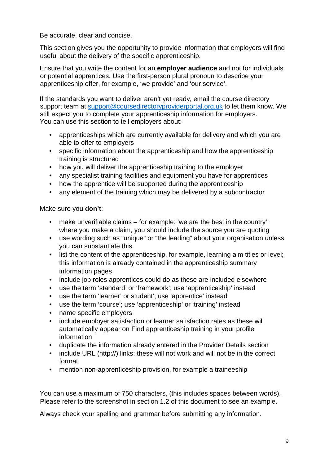Be accurate, clear and concise.

This section gives you the opportunity to provide information that employers will find useful about the delivery of the specific apprenticeship.

Ensure that you write the content for an **employer audience** and not for individuals or potential apprentices. Use the first-person plural pronoun to describe your apprenticeship offer, for example, 'we provide' and 'our service'.

If the standards you want to deliver aren't yet ready, email the course directory support team at [support@coursedirectoryproviderportal.org.uk](mailto:support@coursedirectoryproviderportal.org.uk) to let them know. We still expect you to complete your apprenticeship information for employers. You can use this section to tell employers about:

- apprenticeships which are currently available for delivery and which you are able to offer to employers
- specific information about the apprenticeship and how the apprenticeship training is structured
- how you will deliver the apprenticeship training to the employer
- any specialist training facilities and equipment you have for apprentices
- how the apprentice will be supported during the apprenticeship
- any element of the training which may be delivered by a subcontractor

Make sure you **don't**:

- make unverifiable claims for example: 'we are the best in the country'; where you make a claim, you should include the source you are quoting
- use wording such as "unique" or "the leading" about your organisation unless you can substantiate this
- list the content of the apprenticeship, for example, learning aim titles or level; this information is already contained in the apprenticeship summary information pages
- include job roles apprentices could do as these are included elsewhere
- use the term 'standard' or 'framework'; use 'apprenticeship' instead
- use the term 'learner' or student'; use 'apprentice' instead
- use the term 'course'; use 'apprenticeship' or 'training' instead
- name specific employers
- include employer satisfaction or learner satisfaction rates as these will automatically appear on Find apprenticeship training in your profile information
- duplicate the information already entered in the Provider Details section
- include URL (http://) links: these will not work and will not be in the correct format
- mention non-apprenticeship provision, for example a traineeship

You can use a maximum of 750 characters, (this includes spaces between words). Please refer to the screenshot in section 1.2 of this document to see an example.

Always check your spelling and grammar before submitting any information.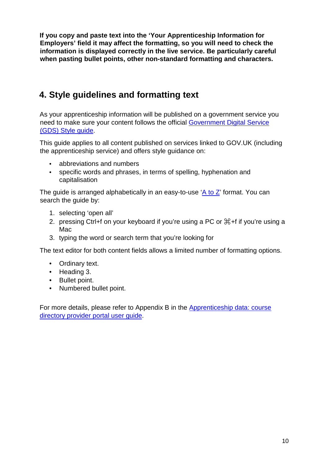**If you copy and paste text into the 'Your Apprenticeship Information for Employers' field it may affect the formatting, so you will need to check the information is displayed correctly in the live service. Be particularly careful when pasting bullet points, other non-standard formatting and characters.**

# <span id="page-10-0"></span>**4. Style guidelines and formatting text**

As your apprenticeship information will be published on a government service you need to make sure your content follows the official [Government Digital Service](https://www.gov.uk/guidance/style-guide/a-to-z-of-gov-uk-style)  [\(GDS\) Style guide.](https://www.gov.uk/guidance/style-guide/a-to-z-of-gov-uk-style)

This guide applies to all content published on services linked to GOV.UK (including the apprenticeship service) and offers style guidance on:

- abbreviations and numbers
- specific words and phrases, in terms of spelling, hyphenation and capitalisation

The guide is arranged alphabetically in an easy-to-use  $A$  to  $Z$ ' format. You can search the guide by:

- 1. selecting 'open all'
- 2. pressing Ctrl+f on your keyboard if you're using a PC or ⌘+f if you're using a Mac
- 3. typing the word or search term that you're looking for

The text editor for both content fields allows a limited number of formatting options.

- Ordinary text.
- Heading 3.
- Bullet point.
- Numbered bullet point.

For more details, please refer to Appendix B in the **Apprenticeship data: course** [directory provider portal user guide.](https://www.gov.uk/government/publications/find-apprenticeship-training-how-to-submit-data)